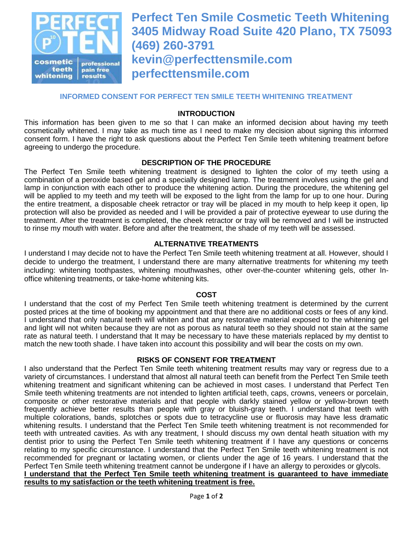

# **Perfect Ten Smile Cosmetic Teeth Whitening 3405 Midway Road Suite 420 Plano, TX 75093 (469) 260-3791 kevin@perfecttensmile.com perfecttensmile.com**

# **INFORMED CONSENT FOR PERFECT TEN SMILE TEETH WHITENING TREATMENT**

## **INTRODUCTION**

This information has been given to me so that I can make an informed decision about having my teeth cosmetically whitened. I may take as much time as I need to make my decision about signing this informed consent form. I have the right to ask questions about the Perfect Ten Smile teeth whitening treatment before agreeing to undergo the procedure.

## **DESCRIPTION OF THE PROCEDURE**

The Perfect Ten Smile teeth whitening treatment is designed to lighten the color of my teeth using a combination of a peroxide based gel and a specially designed lamp. The treatment involves using the gel and lamp in conjunction with each other to produce the whitening action. During the procedure, the whitening gel will be applied to my teeth and my teeth will be exposed to the light from the lamp for up to one hour. During the entire treatment, a disposable cheek retractor or tray will be placed in my mouth to help keep it open, lip protection will also be provided as needed and I will be provided a pair of protective eyewear to use during the treatment. After the treatment is completed, the cheek retractor or tray will be removed and I will be instructed to rinse my mouth with water. Before and after the treatment, the shade of my teeth will be assessed.

## **ALTERNATIVE TREATMENTS**

I understand I may decide not to have the Perfect Ten Smile teeth whitening treatment at all. However, should I decide to undergo the treatment, I understand there are many alternative treatments for whitening my teeth including: whitening toothpastes, whitening mouthwashes, other over-the-counter whitening gels, other Inoffice whitening treatments, or take-home whitening kits.

### **COST**

I understand that the cost of my Perfect Ten Smile teeth whitening treatment is determined by the current posted prices at the time of booking my appointment and that there are no additional costs or fees of any kind. I understand that only natural teeth will whiten and that any restorative material exposed to the whitening gel and light will not whiten because they are not as porous as natural teeth so they should not stain at the same rate as natural teeth. I understand that It may be necessary to have these materials replaced by my dentist to match the new tooth shade. I have taken into account this possibility and will bear the costs on my own.

## **RISKS OF CONSENT FOR TREATMENT**

I also understand that the Perfect Ten Smile teeth whitening treatment results may vary or regress due to a variety of circumstances. I understand that almost all natural teeth can benefit from the Perfect Ten Smile teeth whitening treatment and significant whitening can be achieved in most cases. I understand that Perfect Ten Smile teeth whitening treatments are not intended to lighten artificial teeth, caps, crowns, veneers or porcelain, composite or other restorative materials and that people with darkly stained yellow or yellow-brown teeth frequently achieve better results than people with gray or bluish-gray teeth. I understand that teeth with multiple colorations, bands, splotches or spots due to tetracycline use or fluorosis may have less dramatic whitening results. I understand that the Perfect Ten Smile teeth whitening treatment is not recommended for teeth with untreated cavities. As with any treatment, I should discuss my own dental heath situation with my dentist prior to using the Perfect Ten Smile teeth whitening treatment if I have any questions or concerns relating to my specific circumstance. I understand that the Perfect Ten Smile teeth whitening treatment is not recommended for pregnant or lactating women, or clients under the age of 16 years. I understand that the Perfect Ten Smile teeth whitening treatment cannot be undergone if I have an allergy to peroxides or glycols. **I understand that the Perfect Ten Smile teeth whitening treatment is guaranteed to have immediate results to my satisfaction or the teeth whitening treatment is free.**